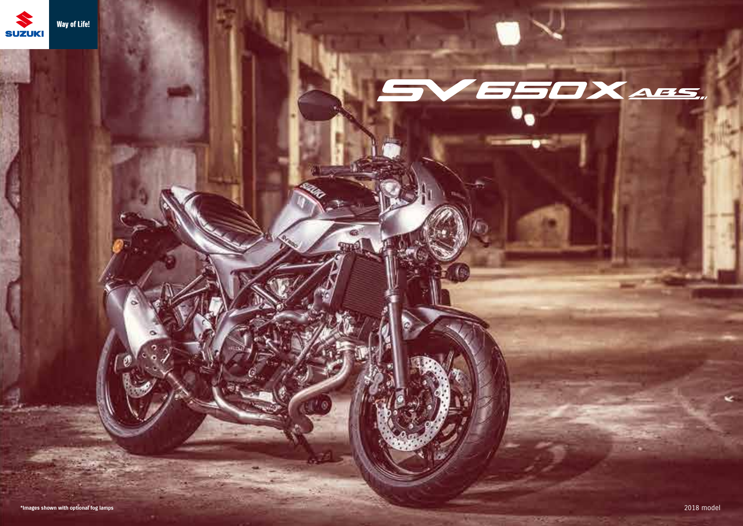

# 550X ABS,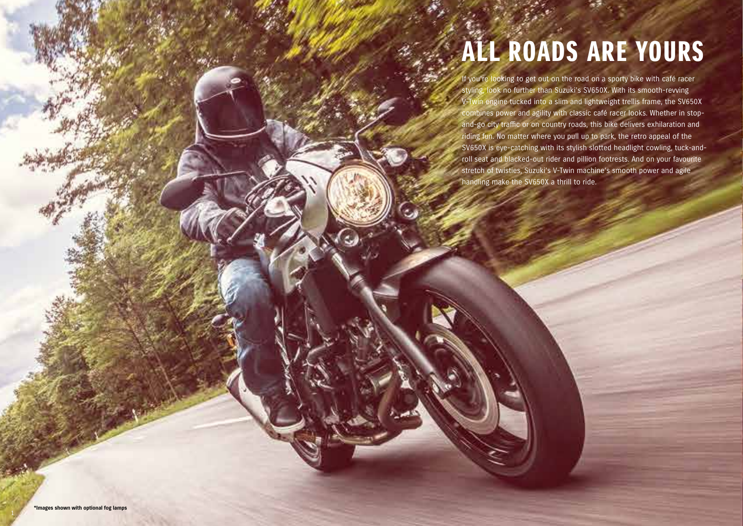### ALL ROADS ARE YOURS

If you're looking to get out on the road on a sporty bike with café racer styling, look no further than Suzuki's SV650X. With its smooth-revving V-Twin engine tucked into a slim and lightweight trellis frame, the SV650X combines power and agility with classic café racer looks. Whether in stopand-go city traffic or on country roads, this bike delivers exhilaration and riding fun. No matter where you pull up to park, the retro appeal of the SV650X is eye-catching with its stylish slotted headlight cowling, tuck-androll seat and blacked-out rider and pillion footrests. And on your favourite stretch of twisties, Suzuki's V-Twin machine's smooth power and agile handling make the SV650X a thrill to ride.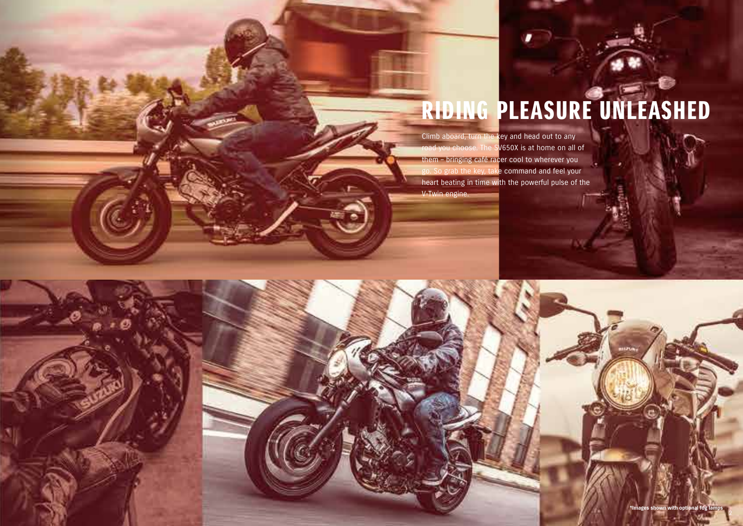# RIDING PLEASURE UNLEASHED

Climb aboard, turn the key and head out to any road you choose. The SV650X is at home on all of them – bringing café racer cool to wherever you go. So grab the key, take command and feel your heart beating in time with the powerful pulse of the V-Twin engine.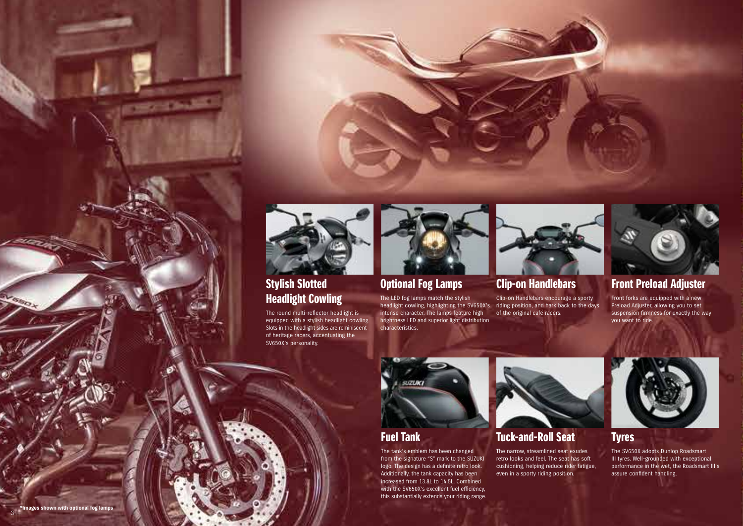

### Stylish Slotted Headlight Cowling

**DESCRIPTION** 

The round multi-reflector headlight is equipped with a stylish headlight cowling. Slots in the headlight sides are reminiscent of heritage racers, accentuating the SV650X's personality.



### Optional Fog Lamps

The LED fog lamps match the stylish headlight cowling, highlighting the SV650X's intense character. The lamps feature high brightness LED and superior light distribution characteristics.



### Clip-on Handlebars

Clip-on Handlebars encourage a sporty riding position, and hark back to the days of the original café racers.



### Front Preload Adjuster

Front forks are equipped with a new Preload Adjuster, allowing you to set suspension firmness for exactly the way you want to ride.



### Fuel Tank

The tank's emblem has been changed from the signature "S" mark to the SUZUKI logo. The design has a definite retro look. Additionally, the tank capacity has been increased from 13.8L to 14.5L. Combined with the SV650X's excellent fuel efficiency, this substantially extends your riding range.



### Tuck-and-Roll Seat

The narrow, streamlined seat exudes retro looks and feel. The seat has soft cushioning, helping reduce rider fatigue, even in a sporty riding position.



### Tyres

The SV650X adopts Dunlop Roadsmart III tyres. Well-grounded with exceptional performance in the wet, the Roadsmart III's assure confident handling.

**AVESTO**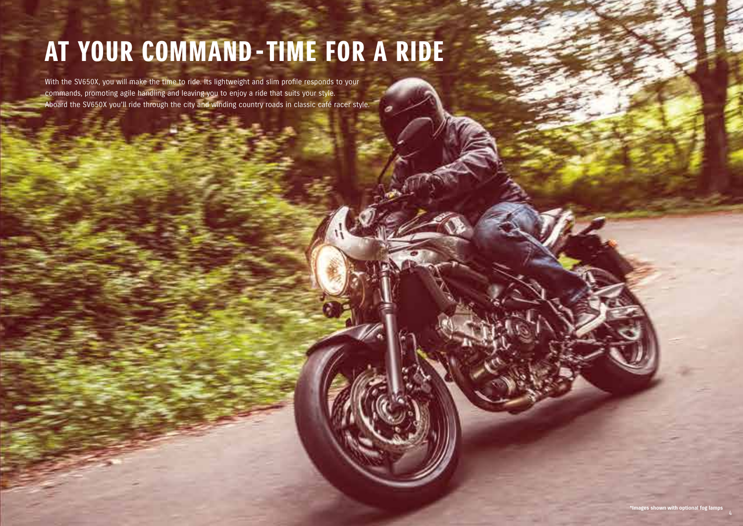## AT YOUR COMMAND - TIME FOR A RIDE

With the SV650X, you will make the time to ride. Its lightweight and slim profile responds to your commands, promoting agile handling and leaving you to enjoy a ride that suits your style. Aboard the SV650X you'll ride through the city and winding country roads in classic café racer style.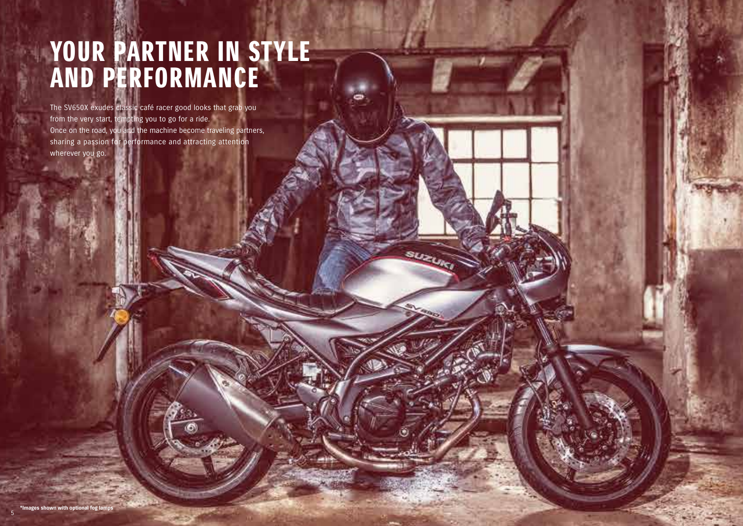### YOUR PARTNER IN STYLE AND PERFORMANCE

SUZUR

The SV650X exudes classic café racer good looks that grab you from the very start, tempting you to go for a ride. Once on the road, you and the machine become traveling partners, sharing a passion for performance and attracting attention wherever you go.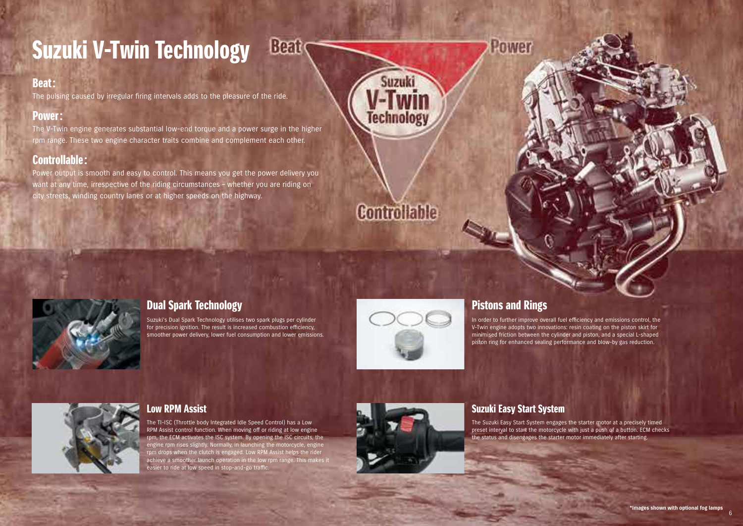### Suzuki V-Twin Technology

### Beat:

The pulsing caused by irregular firing intervals adds to the pleasure of the ride.

#### Power:

The V-Twin engine generates substantial low-end torque and a power surge in the higher rpm range. These two engine character traits combine and complement each other.

### Controllable:

Power output is smooth and easy to control. This means you get the power delivery you want at any time, irrespective of the riding circumstances – whether you are riding on city streets, winding country lanes or at higher speeds on the highway.



Suzuki

Technology



### Dual Spark Technology

Suzuki's Dual Spark Technology utilises two spark plugs per cylinder for precision ignition. The result is increased combustion efficiency, smoother power delivery, lower fuel consumption and lower emissions.

Beat



### Pistons and Rings

Power

In order to further improve overall fuel efficiency and emissions control, the V-Twin engine adopts two innovations: resin coating on the piston skirt for minimised friction between the cylinder and piston, and a special L-shaped piston ring for enhanced sealing performance and blow-by gas reduction.



#### Low RPM Assist

The TI-ISC (Throttle body Integrated Idle Speed Control) has a Low RPM Assist control function. When moving off or riding at low engine rpm, the ECM activates the ISC system. By opening the ISC circuits, the engine rpm rises slightly. Normally, in launching the motorcycle, engine rpm drops when the clutch is engaged. Low RPM Assist helps the rider achieve a smoother launch operation in the low rpm range. This makes it easier to ride at low speed in stop-and-go traffic.



#### Suzuki Easy Start System

The Suzuki Easy Start System engages the starter motor at a precisely timed preset interval to start the motorcycle with just a push of a button. ECM checks the status and disengages the starter motor immediately after starting.